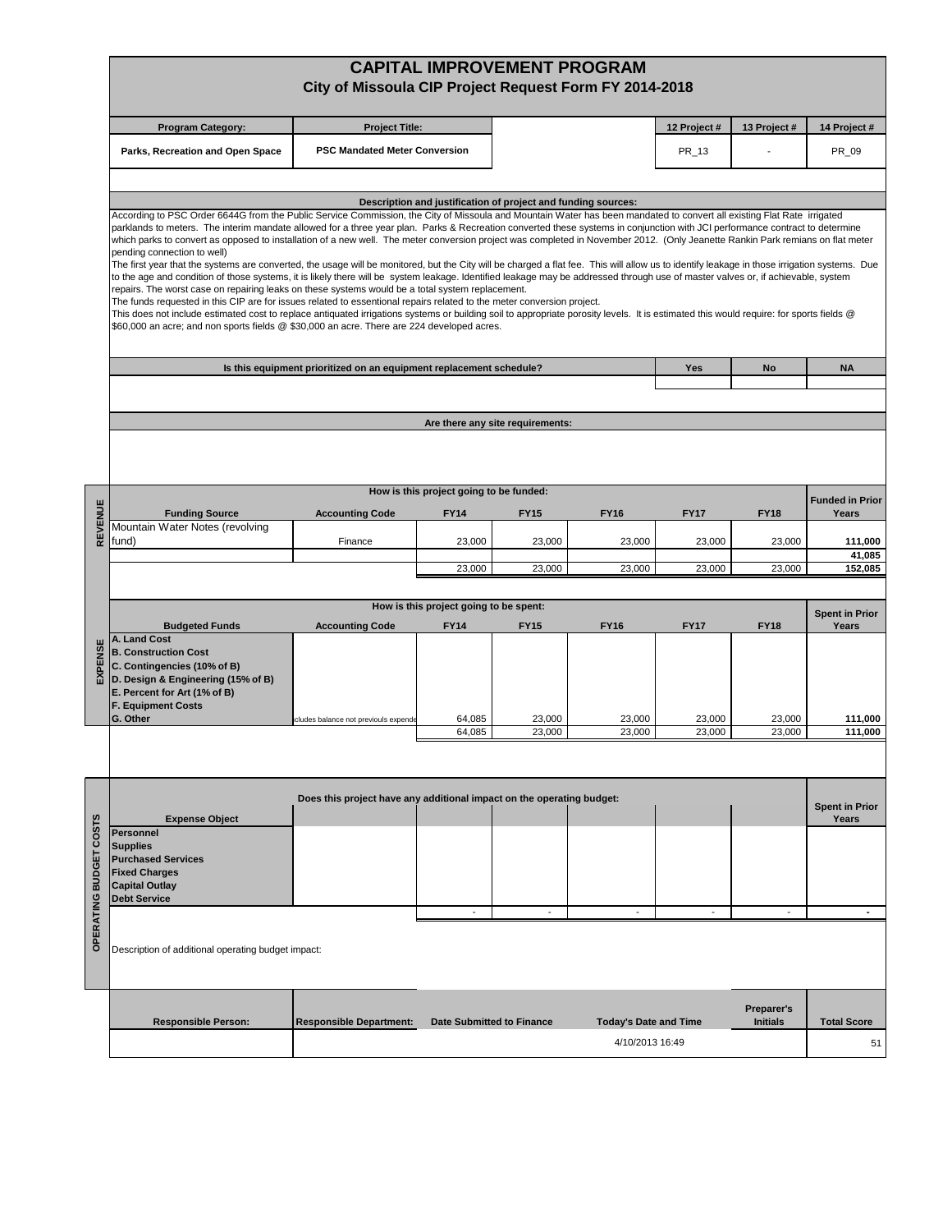|                        | <b>CAPITAL IMPROVEMENT PROGRAM</b><br>City of Missoula CIP Project Request Form FY 2014-2018                                                                                                                                                                                                                                                                                                                                                                                                                                                                                                                                                                                                                                                                                                                                                                                                                                                                                                                                                                                                                                                                                                                                                                                                             |                                                                       |                                         |                                  |                                                 |                       |                                      |                                |
|------------------------|----------------------------------------------------------------------------------------------------------------------------------------------------------------------------------------------------------------------------------------------------------------------------------------------------------------------------------------------------------------------------------------------------------------------------------------------------------------------------------------------------------------------------------------------------------------------------------------------------------------------------------------------------------------------------------------------------------------------------------------------------------------------------------------------------------------------------------------------------------------------------------------------------------------------------------------------------------------------------------------------------------------------------------------------------------------------------------------------------------------------------------------------------------------------------------------------------------------------------------------------------------------------------------------------------------|-----------------------------------------------------------------------|-----------------------------------------|----------------------------------|-------------------------------------------------|-----------------------|--------------------------------------|--------------------------------|
|                        | <b>Program Category:</b>                                                                                                                                                                                                                                                                                                                                                                                                                                                                                                                                                                                                                                                                                                                                                                                                                                                                                                                                                                                                                                                                                                                                                                                                                                                                                 | <b>Project Title:</b>                                                 |                                         |                                  |                                                 | 12 Project#           | 13 Project #                         | 14 Project #                   |
|                        | Parks, Recreation and Open Space                                                                                                                                                                                                                                                                                                                                                                                                                                                                                                                                                                                                                                                                                                                                                                                                                                                                                                                                                                                                                                                                                                                                                                                                                                                                         | <b>PSC Mandated Meter Conversion</b>                                  |                                         |                                  |                                                 | PR_13                 |                                      | PR_09                          |
|                        |                                                                                                                                                                                                                                                                                                                                                                                                                                                                                                                                                                                                                                                                                                                                                                                                                                                                                                                                                                                                                                                                                                                                                                                                                                                                                                          |                                                                       |                                         |                                  |                                                 |                       |                                      |                                |
|                        | Description and justification of project and funding sources:<br>According to PSC Order 6644G from the Public Service Commission, the City of Missoula and Mountain Water has been mandated to convert all existing Flat Rate irrigated                                                                                                                                                                                                                                                                                                                                                                                                                                                                                                                                                                                                                                                                                                                                                                                                                                                                                                                                                                                                                                                                  |                                                                       |                                         |                                  |                                                 |                       |                                      |                                |
|                        | parklands to meters. The interim mandate allowed for a three year plan. Parks & Recreation converted these systems in conjunction with JCI performance contract to determine<br>which parks to convert as opposed to installation of a new well. The meter conversion project was completed in November 2012. (Only Jeanette Rankin Park remians on flat meter<br>pending connection to well)<br>The first year that the systems are converted, the usage will be monitored, but the City will be charged a flat fee. This will allow us to identify leakage in those irrigation systems. Due<br>to the age and condition of those systems, it is likely there will be system leakage. Identified leakage may be addressed through use of master valves or, if achievable, system<br>repairs. The worst case on repairing leaks on these systems would be a total system replacement.<br>The funds requested in this CIP are for issues related to essentional repairs related to the meter conversion project.<br>This does not include estimated cost to replace antiquated irrigations systems or building soil to appropriate porosity levels. It is estimated this would require: for sports fields @<br>\$60,000 an acre; and non sports fields @ \$30,000 an acre. There are 224 developed acres. |                                                                       |                                         |                                  |                                                 |                       |                                      |                                |
|                        |                                                                                                                                                                                                                                                                                                                                                                                                                                                                                                                                                                                                                                                                                                                                                                                                                                                                                                                                                                                                                                                                                                                                                                                                                                                                                                          | Is this equipment prioritized on an equipment replacement schedule?   |                                         |                                  |                                                 | Yes                   | No                                   | <b>NA</b>                      |
|                        |                                                                                                                                                                                                                                                                                                                                                                                                                                                                                                                                                                                                                                                                                                                                                                                                                                                                                                                                                                                                                                                                                                                                                                                                                                                                                                          |                                                                       |                                         |                                  |                                                 |                       |                                      |                                |
|                        |                                                                                                                                                                                                                                                                                                                                                                                                                                                                                                                                                                                                                                                                                                                                                                                                                                                                                                                                                                                                                                                                                                                                                                                                                                                                                                          |                                                                       |                                         | Are there any site requirements: |                                                 |                       |                                      |                                |
|                        |                                                                                                                                                                                                                                                                                                                                                                                                                                                                                                                                                                                                                                                                                                                                                                                                                                                                                                                                                                                                                                                                                                                                                                                                                                                                                                          |                                                                       |                                         |                                  |                                                 |                       |                                      |                                |
|                        |                                                                                                                                                                                                                                                                                                                                                                                                                                                                                                                                                                                                                                                                                                                                                                                                                                                                                                                                                                                                                                                                                                                                                                                                                                                                                                          |                                                                       | How is this project going to be funded: |                                  |                                                 |                       |                                      | <b>Funded in Prior</b>         |
| REVENUE                | <b>Funding Source</b><br>Mountain Water Notes (revolving                                                                                                                                                                                                                                                                                                                                                                                                                                                                                                                                                                                                                                                                                                                                                                                                                                                                                                                                                                                                                                                                                                                                                                                                                                                 | <b>Accounting Code</b>                                                | <b>FY14</b>                             | <b>FY15</b>                      | <b>FY16</b>                                     | <b>FY17</b>           | <b>FY18</b>                          | Years                          |
|                        | fund)                                                                                                                                                                                                                                                                                                                                                                                                                                                                                                                                                                                                                                                                                                                                                                                                                                                                                                                                                                                                                                                                                                                                                                                                                                                                                                    | Finance                                                               | 23,000                                  | 23,000                           | 23,000                                          | 23,000                | 23,000                               | 111,000                        |
|                        |                                                                                                                                                                                                                                                                                                                                                                                                                                                                                                                                                                                                                                                                                                                                                                                                                                                                                                                                                                                                                                                                                                                                                                                                                                                                                                          |                                                                       | 23,000                                  | 23,000                           | 23,000                                          | 23,000                | 23,000                               | 41,085<br>152,085              |
|                        |                                                                                                                                                                                                                                                                                                                                                                                                                                                                                                                                                                                                                                                                                                                                                                                                                                                                                                                                                                                                                                                                                                                                                                                                                                                                                                          |                                                                       |                                         |                                  |                                                 |                       |                                      |                                |
|                        |                                                                                                                                                                                                                                                                                                                                                                                                                                                                                                                                                                                                                                                                                                                                                                                                                                                                                                                                                                                                                                                                                                                                                                                                                                                                                                          |                                                                       | How is this project going to be spent:  |                                  |                                                 |                       |                                      | <b>Spent in Prior</b>          |
| EXPENSE                | <b>Budgeted Funds</b><br>A. Land Cost<br><b>B. Construction Cost</b><br>C. Contingencies (10% of B)<br>D. Design & Engineering (15% of B)<br>E. Percent for Art (1% of B)<br><b>F. Equipment Costs</b><br>G. Other                                                                                                                                                                                                                                                                                                                                                                                                                                                                                                                                                                                                                                                                                                                                                                                                                                                                                                                                                                                                                                                                                       | <b>Accounting Code</b><br>cludes balance not previouls expende        | <b>FY14</b><br>64,085                   | <b>FY15</b><br>23,000            | <b>FY16</b><br>23,000                           | <b>FY17</b><br>23,000 | <b>FY18</b><br>23,000                | Years<br>111,000               |
|                        |                                                                                                                                                                                                                                                                                                                                                                                                                                                                                                                                                                                                                                                                                                                                                                                                                                                                                                                                                                                                                                                                                                                                                                                                                                                                                                          |                                                                       | 64,085                                  | 23,000                           | 23,000                                          | 23,000                | 23,000                               | 111,000                        |
| OPERATING BUDGET COSTS | <b>Expense Object</b><br><b>Personnel</b><br><b>Supplies</b><br><b>Purchased Services</b><br><b>Fixed Charges</b><br><b>Capital Outlay</b>                                                                                                                                                                                                                                                                                                                                                                                                                                                                                                                                                                                                                                                                                                                                                                                                                                                                                                                                                                                                                                                                                                                                                               | Does this project have any additional impact on the operating budget: |                                         |                                  |                                                 |                       |                                      | <b>Spent in Prior</b><br>Years |
|                        | <b>Debt Service</b>                                                                                                                                                                                                                                                                                                                                                                                                                                                                                                                                                                                                                                                                                                                                                                                                                                                                                                                                                                                                                                                                                                                                                                                                                                                                                      |                                                                       |                                         | ٠                                | ٠                                               | ٠                     |                                      |                                |
|                        | Description of additional operating budget impact:                                                                                                                                                                                                                                                                                                                                                                                                                                                                                                                                                                                                                                                                                                                                                                                                                                                                                                                                                                                                                                                                                                                                                                                                                                                       |                                                                       |                                         |                                  |                                                 |                       |                                      |                                |
|                        | <b>Responsible Person:</b>                                                                                                                                                                                                                                                                                                                                                                                                                                                                                                                                                                                                                                                                                                                                                                                                                                                                                                                                                                                                                                                                                                                                                                                                                                                                               | <b>Responsible Department:</b>                                        | <b>Date Submitted to Finance</b>        |                                  | <b>Today's Date and Time</b><br>4/10/2013 16:49 |                       | <b>Preparer's</b><br><b>Initials</b> | <b>Total Score</b><br>51       |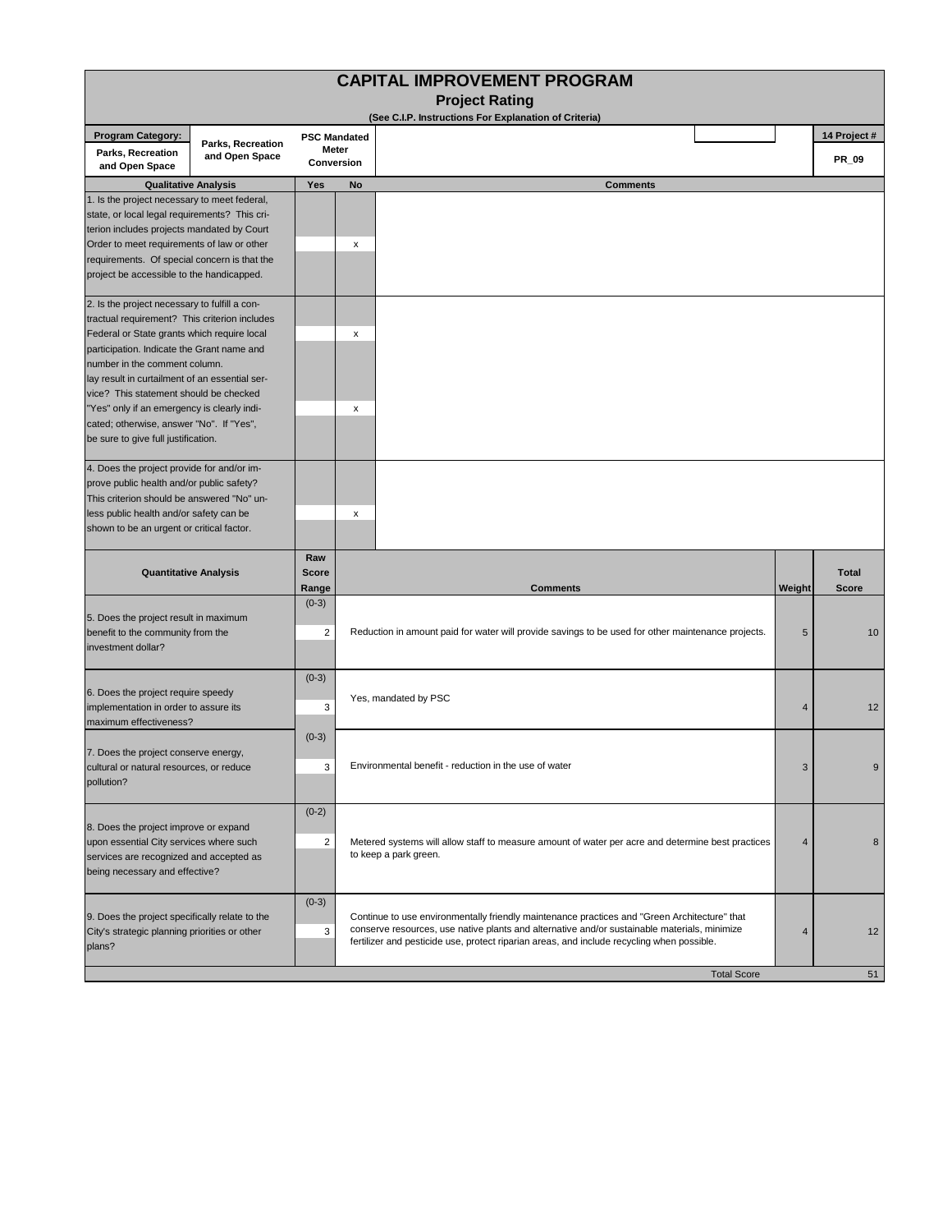| <b>CAPITAL IMPROVEMENT PROGRAM</b>                                                                                                                                                                                                               |                                                                                                                                                |                                                                      |                                                                                                                            |                |                              |  |
|--------------------------------------------------------------------------------------------------------------------------------------------------------------------------------------------------------------------------------------------------|------------------------------------------------------------------------------------------------------------------------------------------------|----------------------------------------------------------------------|----------------------------------------------------------------------------------------------------------------------------|----------------|------------------------------|--|
| <b>Project Rating</b>                                                                                                                                                                                                                            |                                                                                                                                                |                                                                      |                                                                                                                            |                |                              |  |
|                                                                                                                                                                                                                                                  | (See C.I.P. Instructions For Explanation of Criteria)                                                                                          |                                                                      |                                                                                                                            |                |                              |  |
| <b>Program Category:</b><br>Parks, Recreation<br>and Open Space                                                                                                                                                                                  | Parks, Recreation<br>and Open Space                                                                                                            | <b>PSC Mandated</b><br>Meter<br>Conversion                           |                                                                                                                            |                | 14 Project #<br>PR_09        |  |
|                                                                                                                                                                                                                                                  | <b>Qualitative Analysis</b>                                                                                                                    | <b>Yes</b>                                                           | <b>Comments</b><br>No                                                                                                      |                |                              |  |
| 1. Is the project necessary to meet federal,                                                                                                                                                                                                     |                                                                                                                                                |                                                                      |                                                                                                                            |                |                              |  |
| state, or local legal requirements? This cri-                                                                                                                                                                                                    |                                                                                                                                                |                                                                      |                                                                                                                            |                |                              |  |
| terion includes projects mandated by Court                                                                                                                                                                                                       |                                                                                                                                                |                                                                      |                                                                                                                            |                |                              |  |
| Order to meet requirements of law or other                                                                                                                                                                                                       |                                                                                                                                                |                                                                      | x                                                                                                                          |                |                              |  |
| requirements. Of special concern is that the<br>project be accessible to the handicapped.                                                                                                                                                        |                                                                                                                                                |                                                                      |                                                                                                                            |                |                              |  |
| 2. Is the project necessary to fulfill a con-                                                                                                                                                                                                    |                                                                                                                                                |                                                                      |                                                                                                                            |                |                              |  |
| tractual requirement? This criterion includes                                                                                                                                                                                                    |                                                                                                                                                |                                                                      |                                                                                                                            |                |                              |  |
| Federal or State grants which require local                                                                                                                                                                                                      |                                                                                                                                                |                                                                      | x                                                                                                                          |                |                              |  |
| participation. Indicate the Grant name and                                                                                                                                                                                                       |                                                                                                                                                |                                                                      |                                                                                                                            |                |                              |  |
| number in the comment column.<br>lay result in curtailment of an essential ser-                                                                                                                                                                  |                                                                                                                                                |                                                                      |                                                                                                                            |                |                              |  |
| vice? This statement should be checked                                                                                                                                                                                                           |                                                                                                                                                |                                                                      |                                                                                                                            |                |                              |  |
| "Yes" only if an emergency is clearly indi-                                                                                                                                                                                                      |                                                                                                                                                |                                                                      | x                                                                                                                          |                |                              |  |
| cated; otherwise, answer "No". If "Yes",                                                                                                                                                                                                         |                                                                                                                                                |                                                                      |                                                                                                                            |                |                              |  |
| be sure to give full justification.                                                                                                                                                                                                              |                                                                                                                                                |                                                                      |                                                                                                                            |                |                              |  |
| 4. Does the project provide for and/or im-                                                                                                                                                                                                       |                                                                                                                                                |                                                                      |                                                                                                                            |                |                              |  |
| prove public health and/or public safety?                                                                                                                                                                                                        |                                                                                                                                                |                                                                      |                                                                                                                            |                |                              |  |
| This criterion should be answered "No" un-<br>less public health and/or safety can be                                                                                                                                                            |                                                                                                                                                |                                                                      | x                                                                                                                          |                |                              |  |
| shown to be an urgent or critical factor.                                                                                                                                                                                                        |                                                                                                                                                |                                                                      |                                                                                                                            |                |                              |  |
|                                                                                                                                                                                                                                                  |                                                                                                                                                |                                                                      |                                                                                                                            |                |                              |  |
|                                                                                                                                                                                                                                                  |                                                                                                                                                | Raw                                                                  |                                                                                                                            |                |                              |  |
| <b>Quantitative Analysis</b>                                                                                                                                                                                                                     |                                                                                                                                                | <b>Score</b>                                                         | <b>Comments</b>                                                                                                            | Weight         | <b>Total</b><br><b>Score</b> |  |
|                                                                                                                                                                                                                                                  |                                                                                                                                                | Range<br>$(0-3)$                                                     |                                                                                                                            |                |                              |  |
| 5. Does the project result in maximum                                                                                                                                                                                                            |                                                                                                                                                |                                                                      |                                                                                                                            |                |                              |  |
| benefit to the community from the                                                                                                                                                                                                                |                                                                                                                                                | $\overline{2}$                                                       | Reduction in amount paid for water will provide savings to be used for other maintenance projects.<br>5<br>10              |                |                              |  |
| investment dollar?                                                                                                                                                                                                                               |                                                                                                                                                |                                                                      |                                                                                                                            |                |                              |  |
|                                                                                                                                                                                                                                                  |                                                                                                                                                | $(0-3)$                                                              |                                                                                                                            |                |                              |  |
| 6. Does the project require speedy                                                                                                                                                                                                               |                                                                                                                                                |                                                                      | Yes, mandated by PSC                                                                                                       |                |                              |  |
| implementation in order to assure its<br>maximum effectiveness?                                                                                                                                                                                  |                                                                                                                                                | 3<br>4                                                               |                                                                                                                            |                | 12                           |  |
|                                                                                                                                                                                                                                                  |                                                                                                                                                | $(0-3)$                                                              |                                                                                                                            |                |                              |  |
| 7. Does the project conserve energy,                                                                                                                                                                                                             |                                                                                                                                                |                                                                      |                                                                                                                            |                |                              |  |
| cultural or natural resources, or reduce                                                                                                                                                                                                         |                                                                                                                                                | Environmental benefit - reduction in the use of water<br>3<br>3<br>9 |                                                                                                                            |                |                              |  |
| pollution?                                                                                                                                                                                                                                       |                                                                                                                                                |                                                                      |                                                                                                                            |                |                              |  |
|                                                                                                                                                                                                                                                  |                                                                                                                                                | $(0-2)$                                                              |                                                                                                                            |                |                              |  |
| 8. Does the project improve or expand                                                                                                                                                                                                            |                                                                                                                                                |                                                                      |                                                                                                                            | $\overline{4}$ |                              |  |
| upon essential City services where such                                                                                                                                                                                                          |                                                                                                                                                | $\overline{2}$                                                       | Metered systems will allow staff to measure amount of water per acre and determine best practices<br>to keep a park green. |                | 8                            |  |
| services are recognized and accepted as                                                                                                                                                                                                          |                                                                                                                                                |                                                                      |                                                                                                                            |                |                              |  |
| being necessary and effective?                                                                                                                                                                                                                   |                                                                                                                                                |                                                                      |                                                                                                                            |                |                              |  |
|                                                                                                                                                                                                                                                  |                                                                                                                                                | $(0-3)$                                                              |                                                                                                                            |                |                              |  |
|                                                                                                                                                                                                                                                  | 9. Does the project specifically relate to the<br>Continue to use environmentally friendly maintenance practices and "Green Architecture" that |                                                                      |                                                                                                                            |                |                              |  |
| conserve resources, use native plants and alternative and/or sustainable materials, minimize<br>City's strategic planning priorities or other<br>3<br>fertilizer and pesticide use, protect riparian areas, and include recycling when possible. |                                                                                                                                                | 4                                                                    | 12                                                                                                                         |                |                              |  |
| plans?                                                                                                                                                                                                                                           |                                                                                                                                                |                                                                      |                                                                                                                            |                |                              |  |
|                                                                                                                                                                                                                                                  |                                                                                                                                                |                                                                      |                                                                                                                            |                |                              |  |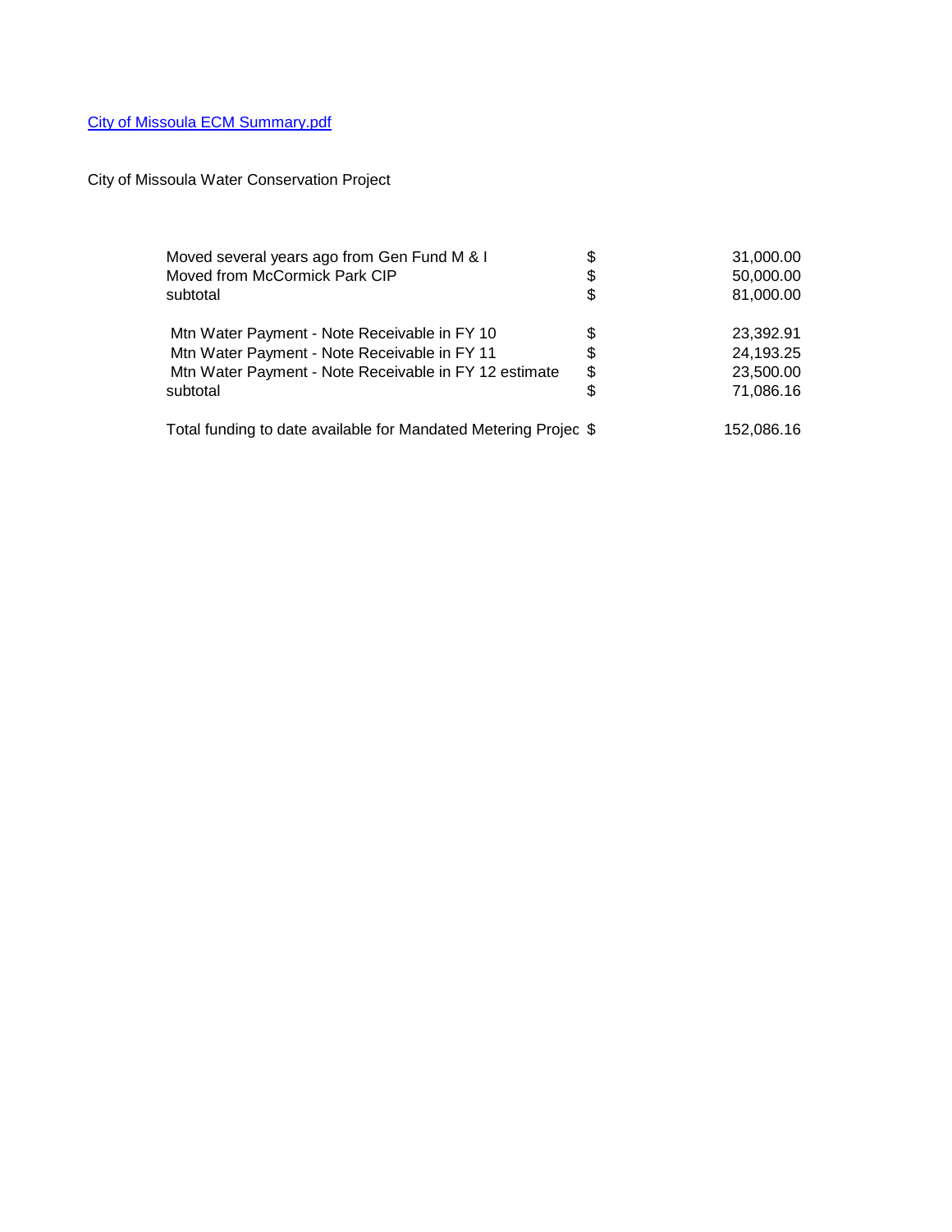## [City of Missoula ECM Summary.pdf](C:/Documents and Settings/mehringk/Local Settings/Temporary Internet Files/City of Missoula ECM Summary.pdf)

City of Missoula Water Conservation Project

| Moved several years ago from Gen Fund M & I                     | \$<br>31,000.00 |
|-----------------------------------------------------------------|-----------------|
| Moved from McCormick Park CIP                                   | \$<br>50,000.00 |
| subtotal                                                        | \$<br>81,000.00 |
|                                                                 |                 |
| Mtn Water Payment - Note Receivable in FY 10                    | \$<br>23.392.91 |
| Mtn Water Payment - Note Receivable in FY 11                    | \$<br>24,193.25 |
| Mtn Water Payment - Note Receivable in FY 12 estimate           | \$<br>23,500.00 |
| subtotal                                                        | \$<br>71,086.16 |
|                                                                 |                 |
| Total funding to date available for Mandated Metering Projec \$ | 152,086.16      |